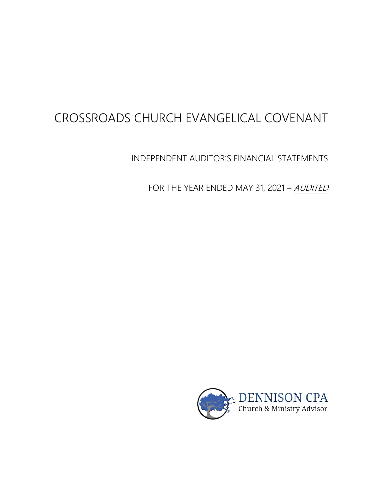INDEPENDENT AUDITOR'S FINANCIAL STATEMENTS

FOR THE YEAR ENDED MAY 31, 2021 - AUDITED

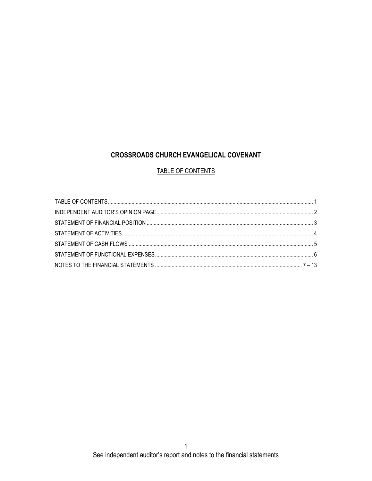# TABLE OF CONTENTS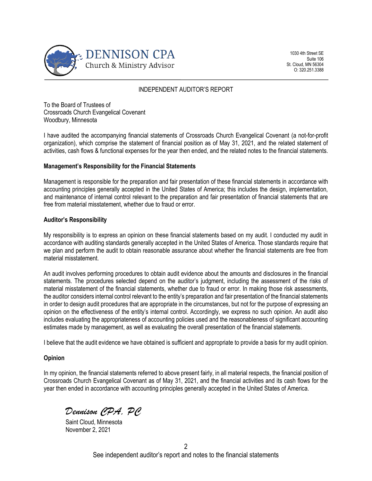

1030 4th Street SE Suite 106 St. Cloud, MN 56304 O: 320.251.3388

# INDEPENDENT AUDITOR'S REPORT

To the Board of Trustees of Crossroads Church Evangelical Covenant Woodbury, Minnesota

I have audited the accompanying financial statements of Crossroads Church Evangelical Covenant (a not-for-profit organization), which comprise the statement of financial position as of May 31, 2021, and the related statement of activities, cash flows & functional expenses for the year then ended, and the related notes to the financial statements.

### **Management's Responsibility for the Financial Statements**

Management is responsible for the preparation and fair presentation of these financial statements in accordance with accounting principles generally accepted in the United States of America; this includes the design, implementation, and maintenance of internal control relevant to the preparation and fair presentation of financial statements that are free from material misstatement, whether due to fraud or error.

# **Auditor's Responsibility**

My responsibility is to express an opinion on these financial statements based on my audit. I conducted my audit in accordance with auditing standards generally accepted in the United States of America. Those standards require that we plan and perform the audit to obtain reasonable assurance about whether the financial statements are free from material misstatement.

An audit involves performing procedures to obtain audit evidence about the amounts and disclosures in the financial statements. The procedures selected depend on the auditor's judgment, including the assessment of the risks of material misstatement of the financial statements, whether due to fraud or error. In making those risk assessments, the auditor considers internal control relevant to the entity's preparation and fair presentation of the financial statements in order to design audit procedures that are appropriate in the circumstances, but not for the purpose of expressing an opinion on the effectiveness of the entity's internal control. Accordingly, we express no such opinion. An audit also includes evaluating the appropriateness of accounting policies used and the reasonableness of significant accounting estimates made by management, as well as evaluating the overall presentation of the financial statements.

I believe that the audit evidence we have obtained is sufficient and appropriate to provide a basis for my audit opinion.

# **Opinion**

In my opinion, the financial statements referred to above present fairly, in all material respects, the financial position of Crossroads Church Evangelical Covenant as of May 31, 2021, and the financial activities and its cash flows for the year then ended in accordance with accounting principles generally accepted in the United States of America.

*Dennison CPA, PC*

Saint Cloud, Minnesota November 2, 2021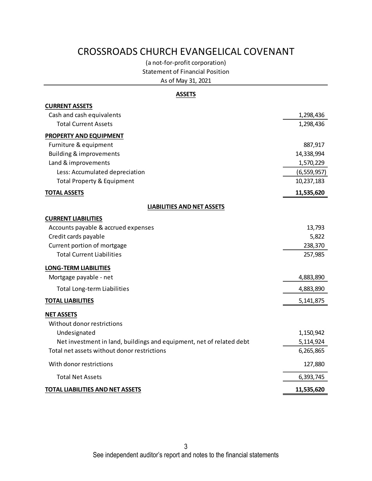Statement of Financial Position As of May 31, 2021 (a not-for-profit corporation)

| <b>ASSETS</b>                                                        |             |
|----------------------------------------------------------------------|-------------|
| <b>CURRENT ASSETS</b>                                                |             |
| Cash and cash equivalents                                            | 1,298,436   |
| <b>Total Current Assets</b>                                          | 1,298,436   |
| PROPERTY AND EQUIPMENT                                               |             |
| Furniture & equipment                                                | 887,917     |
| <b>Building &amp; improvements</b>                                   | 14,338,994  |
| Land & improvements                                                  | 1,570,229   |
| Less: Accumulated depreciation                                       | (6,559,957) |
| <b>Total Property &amp; Equipment</b>                                | 10,237,183  |
| <b>TOTAL ASSETS</b>                                                  | 11,535,620  |
| <b>LIABILITIES AND NET ASSETS</b>                                    |             |
| <b>CURRENT LIABILITIES</b>                                           |             |
| Accounts payable & accrued expenses                                  | 13,793      |
| Credit cards payable                                                 | 5,822       |
| Current portion of mortgage                                          | 238,370     |
| <b>Total Current Liabilities</b>                                     | 257,985     |
| <b>LONG-TERM LIABILITIES</b>                                         |             |
| Mortgage payable - net                                               | 4,883,890   |
| <b>Total Long-term Liabilities</b>                                   | 4,883,890   |
| <b>TOTAL LIABILITIES</b>                                             | 5,141,875   |
| <b>NET ASSETS</b>                                                    |             |
| Without donor restrictions                                           |             |
| Undesignated                                                         | 1,150,942   |
| Net investment in land, buildings and equipment, net of related debt | 5,114,924   |
| Total net assets without donor restrictions                          | 6,265,865   |
| With donor restrictions                                              | 127,880     |
| <b>Total Net Assets</b>                                              | 6,393,745   |
| <b>TOTAL LIABILITIES AND NET ASSETS</b>                              | 11,535,620  |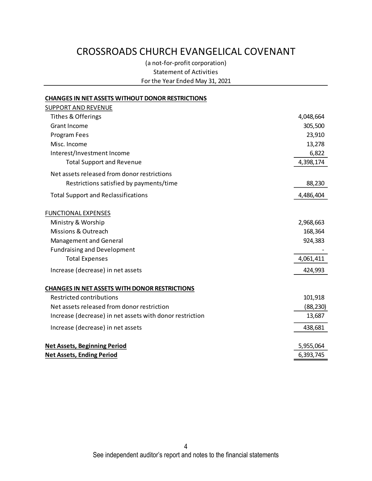(a not-for-profit corporation) Statement of Activities For the Year Ended May 31, 2021

#### **CHANGES IN NET ASSETS WITHOUT DONOR RESTRICTIONS**

| <b>SUPPORT AND REVENUE</b>                               |           |
|----------------------------------------------------------|-----------|
| <b>Tithes &amp; Offerings</b>                            | 4,048,664 |
| <b>Grant Income</b>                                      | 305,500   |
| Program Fees                                             | 23,910    |
| Misc. Income                                             | 13,278    |
| Interest/Investment Income                               | 6,822     |
| <b>Total Support and Revenue</b>                         | 4,398,174 |
| Net assets released from donor restrictions              |           |
| Restrictions satisfied by payments/time                  | 88,230    |
| <b>Total Support and Reclassifications</b>               | 4,486,404 |
| <b>FUNCTIONAL EXPENSES</b>                               |           |
| Ministry & Worship                                       | 2,968,663 |
| Missions & Outreach                                      | 168,364   |
| Management and General                                   | 924,383   |
| <b>Fundraising and Development</b>                       |           |
| <b>Total Expenses</b>                                    | 4,061,411 |
| Increase (decrease) in net assets                        | 424,993   |
| <b>CHANGES IN NET ASSETS WITH DONOR RESTRICTIONS</b>     |           |
| Restricted contributions                                 | 101,918   |
| Net assets released from donor restriction               | (88, 230) |
| Increase (decrease) in net assets with donor restriction | 13,687    |
| Increase (decrease) in net assets                        | 438,681   |
| <b>Net Assets, Beginning Period</b>                      | 5,955,064 |
| <b>Net Assets, Ending Period</b>                         | 6,393,745 |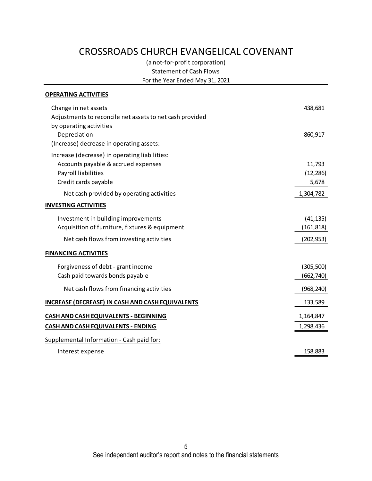(a not-for-profit corporation) Statement of Cash Flows For the Year Ended May 31, 2021

| <b>OPERATING ACTIVITIES</b>                                                                                                         |                              |
|-------------------------------------------------------------------------------------------------------------------------------------|------------------------------|
| Change in net assets<br>Adjustments to reconcile net assets to net cash provided<br>by operating activities<br>Depreciation         | 438,681<br>860,917           |
| (Increase) decrease in operating assets:                                                                                            |                              |
| Increase (decrease) in operating liabilities:<br>Accounts payable & accrued expenses<br>Payroll liabilities<br>Credit cards payable | 11,793<br>(12, 286)<br>5,678 |
| Net cash provided by operating activities                                                                                           | 1,304,782                    |
| <b>INVESTING ACTIVITIES</b>                                                                                                         |                              |
| Investment in building improvements<br>Acquisition of furniture, fixtures & equipment                                               | (41, 135)<br>(161, 818)      |
| Net cash flows from investing activities                                                                                            | (202, 953)                   |
| <b>FINANCING ACTIVITIES</b>                                                                                                         |                              |
| Forgiveness of debt - grant income<br>Cash paid towards bonds payable                                                               | (305, 500)<br>(662,740)      |
| Net cash flows from financing activities                                                                                            | (968, 240)                   |
| <b>INCREASE (DECREASE) IN CASH AND CASH EQUIVALENTS</b>                                                                             | 133,589                      |
| <b>CASH AND CASH EQUIVALENTS - BEGINNING</b>                                                                                        | 1,164,847                    |
| <b>CASH AND CASH EQUIVALENTS - ENDING</b>                                                                                           | 1,298,436                    |
| Supplemental Information - Cash paid for:                                                                                           |                              |
| Interest expense                                                                                                                    | 158,883                      |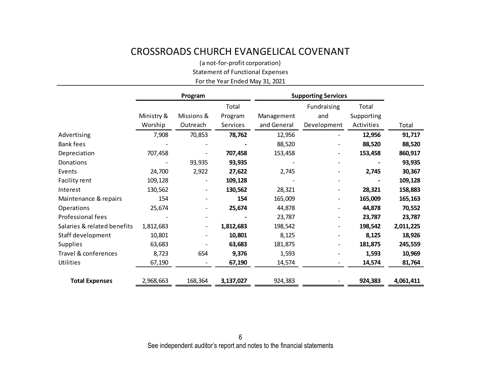(a not-for-profit corporation) Statement of Functional Expenses For the Year Ended May 31, 2021

|                             |            | Program                  |           |             | <b>Supporting Services</b>   |            |           |
|-----------------------------|------------|--------------------------|-----------|-------------|------------------------------|------------|-----------|
|                             |            |                          | Total     |             | Fundraising                  | Total      |           |
|                             | Ministry & | Missions &               | Program   | Management  | and                          | Supporting |           |
|                             | Worship    | Outreach                 | Services  | and General | Development                  | Activities | Total     |
| Advertising                 | 7,908      | 70,853                   | 78,762    | 12,956      |                              | 12,956     | 91,717    |
| <b>Bank fees</b>            |            |                          |           | 88,520      | $\overline{\phantom{a}}$     | 88,520     | 88,520    |
| Depreciation                | 707,458    |                          | 707,458   | 153,458     | $\qquad \qquad \blacksquare$ | 153,458    | 860,917   |
| Donations                   |            | 93,935                   | 93,935    |             |                              |            | 93,935    |
| Events                      | 24,700     | 2,922                    | 27,622    | 2,745       |                              | 2,745      | 30,367    |
| Facility rent               | 109,128    | -                        | 109,128   |             |                              |            | 109,128   |
| Interest                    | 130,562    |                          | 130,562   | 28,321      | $\overline{\phantom{a}}$     | 28,321     | 158,883   |
| Maintenance & repairs       | 154        |                          | 154       | 165,009     | $\overline{\phantom{a}}$     | 165,009    | 165,163   |
| Operations                  | 25,674     |                          | 25,674    | 44,878      | $\overline{\phantom{a}}$     | 44,878     | 70,552    |
| Professional fees           |            |                          |           | 23,787      | $\overline{\phantom{a}}$     | 23,787     | 23,787    |
| Salaries & related benefits | 1,812,683  | $\overline{\phantom{0}}$ | 1,812,683 | 198,542     | $\overline{\phantom{a}}$     | 198,542    | 2,011,225 |
| Staff development           | 10,801     |                          | 10,801    | 8,125       |                              | 8,125      | 18,926    |
| <b>Supplies</b>             | 63,683     |                          | 63,683    | 181,875     | $\overline{\phantom{a}}$     | 181,875    | 245,559   |
| Travel & conferences        | 8,723      | 654                      | 9,376     | 1,593       |                              | 1,593      | 10,969    |
| Utilities                   | 67,190     |                          | 67,190    | 14,574      |                              | 14,574     | 81,764    |
|                             |            |                          |           |             |                              |            |           |
| <b>Total Expenses</b>       | 2,968,663  | 168,364                  | 3,137,027 | 924,383     |                              | 924,383    | 4,061,411 |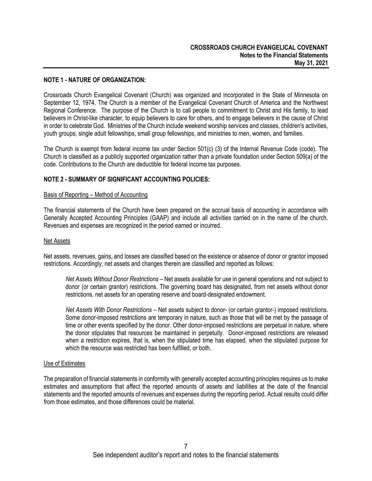### **NOTE 1 - NATURE OF ORGANIZATION:**

Crossroads Church Evangelical Covenant (Church) was organized and incorporated in the State of Minnesota on September 12, 1974. The Church is a member of the Evangelical Covenant Church of America and the Northwest Regional Conference. The purpose of the Church is to call people to commitment to Christ and His family, to lead believers in Christ-like character, to equip believers to care for others, and to engage believers in the cause of Christ in order to celebrate God. Ministries of the Church include weekend worship services and classes, children's activities, youth groups, single adult fellowships, small group fellowships, and ministries to men, women, and families.

The Church is exempt from federal income tax under Section 501(c) (3) of the Internal Revenue Code (code). The Church is classified as a publicly supported organization rather than a private foundation under Section 509(a) of the code. Contributions to the Church are deductible for federal income tax purposes.

# **NOTE 2 - SUMMARY OF SIGNIFICANT ACCOUNTING POLICIES:**

#### Basis of Reporting – Method of Accounting

The financial statements of the Church have been prepared on the accrual basis of accounting in accordance with Generally Accepted Accounting Principles (GAAP) and include all activities carried on in the name of the church. Revenues and expenses are recognized in the period earned or incurred.

#### Net Assets

Net assets, revenues, gains, and losses are classified based on the existence or absence of donor or grantor imposed restrictions. Accordingly, net assets and changes therein are classified and reported as follows:

*Net Assets Without Donor Restrictions –* Net assets available for use in general operations and not subject to donor (or certain grantor) restrictions. The governing board has designated, from net assets without donor restrictions, net assets for an operating reserve and board-designated endowment.

*Net Assets With Donor Restrictions –* Net assets subject to donor- (or certain grantor-) imposed restrictions. Some donor-imposed restrictions are temporary in nature, such as those that will be met by the passage of time or other events specified by the donor. Other donor-imposed restrictions are perpetual in nature, where the donor stipulates that resources be maintained in perpetuity. Donor-imposed restrictions are released when a restriction expires, that is, when the stipulated time has elapsed, when the stipulated purpose for which the resource was restricted has been fulfilled, or both.

#### Use of Estimates

The preparation of financial statements in conformity with generally accepted accounting principles requires us to make estimates and assumptions that affect the reported amounts of assets and liabilities at the date of the financial statements and the reported amounts of revenues and expenses during the reporting period. Actual results could differ from those estimates, and those differences could be material.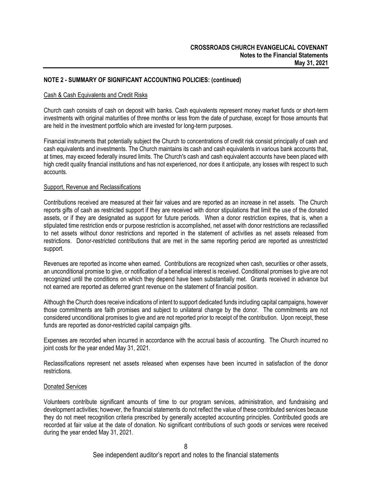#### Cash & Cash Equivalents and Credit Risks

Church cash consists of cash on deposit with banks. Cash equivalents represent money market funds or short-term investments with original maturities of three months or less from the date of purchase, except for those amounts that are held in the investment portfolio which are invested for long-term purposes.

Financial instruments that potentially subject the Church to concentrations of credit risk consist principally of cash and cash equivalents and investments. The Church maintains its cash and cash equivalents in various bank accounts that, at times, may exceed federally insured limits. The Church's cash and cash equivalent accounts have been placed with high credit quality financial institutions and has not experienced, nor does it anticipate, any losses with respect to such accounts.

#### Support, Revenue and Reclassifications

Contributions received are measured at their fair values and are reported as an increase in net assets. The Church reports gifts of cash as restricted support if they are received with donor stipulations that limit the use of the donated assets, or if they are designated as support for future periods. When a donor restriction expires, that is, when a stipulated time restriction ends or purpose restriction is accomplished, net asset with donor restrictions are reclassified to net assets without donor restrictions and reported in the statement of activities as net assets released from restrictions. Donor-restricted contributions that are met in the same reporting period are reported as unrestricted support.

Revenues are reported as income when earned. Contributions are recognized when cash, securities or other assets, an unconditional promise to give, or notification of a beneficial interest is received. Conditional promises to give are not recognized until the conditions on which they depend have been substantially met. Grants received in advance but not earned are reported as deferred grant revenue on the statement of financial position.

Although the Church does receive indications of intent to support dedicated funds including capital campaigns, however those commitments are faith promises and subject to unilateral change by the donor. The commitments are not considered unconditional promises to give and are not reported prior to receipt of the contribution. Upon receipt, these funds are reported as donor-restricted capital campaign gifts.

Expenses are recorded when incurred in accordance with the accrual basis of accounting. The Church incurred no joint costs for the year ended May 31, 2021.

Reclassifications represent net assets released when expenses have been incurred in satisfaction of the donor restrictions.

#### Donated Services

Volunteers contribute significant amounts of time to our program services, administration, and fundraising and development activities; however, the financial statements do not reflect the value of these contributed services because they do not meet recognition criteria prescribed by generally accepted accounting principles. Contributed goods are recorded at fair value at the date of donation. No significant contributions of such goods or services were received during the year ended May 31, 2021.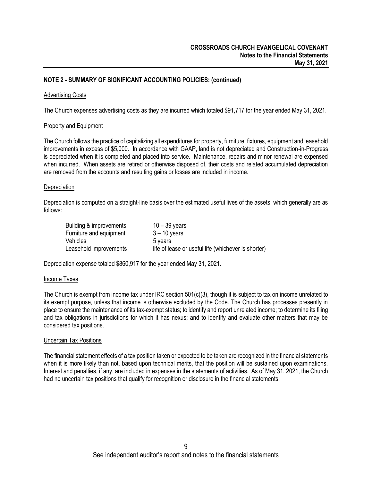#### Advertising Costs

The Church expenses advertising costs as they are incurred which totaled \$91,717 for the year ended May 31, 2021.

#### Property and Equipment

The Church follows the practice of capitalizing all expenditures for property, furniture, fixtures, equipment and leasehold improvements in excess of \$5,000. In accordance with GAAP, land is not depreciated and Construction-in-Progress is depreciated when it is completed and placed into service. Maintenance, repairs and minor renewal are expensed when incurred. When assets are retired or otherwise disposed of, their costs and related accumulated depreciation are removed from the accounts and resulting gains or losses are included in income.

#### **Depreciation**

Depreciation is computed on a straight-line basis over the estimated useful lives of the assets, which generally are as follows:

| $10 - 39$ years                                     |
|-----------------------------------------------------|
| $3 - 10$ years                                      |
| 5 years                                             |
| life of lease or useful life (whichever is shorter) |
|                                                     |

Depreciation expense totaled \$860,917 for the year ended May 31, 2021.

#### Income Taxes

The Church is exempt from income tax under IRC section 501(c)(3), though it is subject to tax on income unrelated to its exempt purpose, unless that income is otherwise excluded by the Code. The Church has processes presently in place to ensure the maintenance of its tax-exempt status; to identify and report unrelated income; to determine its filing and tax obligations in jurisdictions for which it has nexus; and to identify and evaluate other matters that may be considered tax positions.

#### Uncertain Tax Positions

The financial statement effects of a tax position taken or expected to be taken are recognized in the financial statements when it is more likely than not, based upon technical merits, that the position will be sustained upon examinations. Interest and penalties, if any, are included in expenses in the statements of activities. As of May 31, 2021, the Church had no uncertain tax positions that qualify for recognition or disclosure in the financial statements.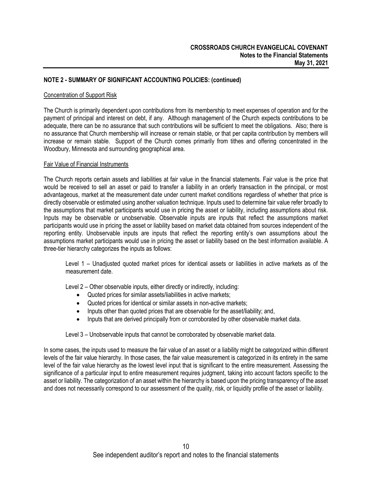#### Concentration of Support Risk

The Church is primarily dependent upon contributions from its membership to meet expenses of operation and for the payment of principal and interest on debt, if any. Although management of the Church expects contributions to be adequate, there can be no assurance that such contributions will be sufficient to meet the obligations. Also; there is no assurance that Church membership will increase or remain stable, or that per capita contribution by members will increase or remain stable. Support of the Church comes primarily from tithes and offering concentrated in the Woodbury, Minnesota and surrounding geographical area.

#### Fair Value of Financial Instruments

The Church reports certain assets and liabilities at fair value in the financial statements. Fair value is the price that would be received to sell an asset or paid to transfer a liability in an orderly transaction in the principal, or most advantageous, market at the measurement date under current market conditions regardless of whether that price is directly observable or estimated using another valuation technique. Inputs used to determine fair value refer broadly to the assumptions that market participants would use in pricing the asset or liability, including assumptions about risk. Inputs may be observable or unobservable. Observable inputs are inputs that reflect the assumptions market participants would use in pricing the asset or liability based on market data obtained from sources independent of the reporting entity. Unobservable inputs are inputs that reflect the reporting entity's own assumptions about the assumptions market participants would use in pricing the asset or liability based on the best information available. A three-tier hierarchy categorizes the inputs as follows:

Level 1 – Unadjusted quoted market prices for identical assets or liabilities in active markets as of the measurement date.

Level 2 – Other observable inputs, either directly or indirectly, including:

- Quoted prices for similar assets/liabilities in active markets;
- Quoted prices for identical or similar assets in non-active markets;
- Inputs other than quoted prices that are observable for the asset/liability; and,
- Inputs that are derived principally from or corroborated by other observable market data.

Level 3 – Unobservable inputs that cannot be corroborated by observable market data.

In some cases, the inputs used to measure the fair value of an asset or a liability might be categorized within different levels of the fair value hierarchy. In those cases, the fair value measurement is categorized in its entirety in the same level of the fair value hierarchy as the lowest level input that is significant to the entire measurement. Assessing the significance of a particular input to entire measurement requires judgment, taking into account factors specific to the asset or liability. The categorization of an asset within the hierarchy is based upon the pricing transparency of the asset and does not necessarily correspond to our assessment of the quality, risk, or liquidity profile of the asset or liability.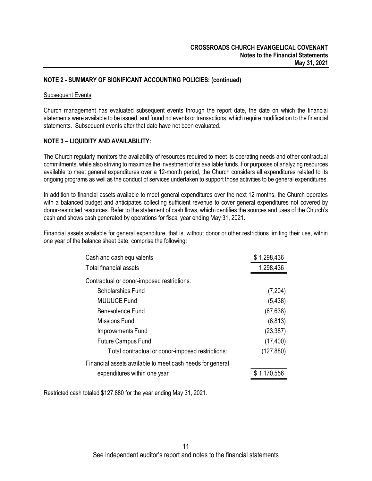#### Subsequent Events

Church management has evaluated subsequent events through the report date, the date on which the financial statements were available to be issued, and found no events or transactions, which require modification to the financial statements. Subsequent events after that date have not been evaluated.

# **NOTE 3 – LIQUIDITY AND AVAILABILITY:**

The Church regularly monitors the availability of resources required to meet its operating needs and other contractual commitments, while also striving to maximize the investment of its available funds. For purposes of analyzing resources available to meet general expenditures over a 12-month period, the Church considers all expenditures related to its ongoing programs as well as the conduct of services undertaken to support those activities to be general expenditures.

In addition to financial assets available to meet general expenditures over the next 12 months, the Church operates with a balanced budget and anticipates collecting sufficient revenue to cover general expenditures not covered by donor-restricted resources. Refer to the statement of cash flows, which identifies the sources and uses of the Church's cash and shows cash generated by operations for fiscal year ending May 31, 2021.

Financial assets available for general expenditure, that is, without donor or other restrictions limiting their use, within one year of the balance sheet date, comprise the following:

| Cash and cash equivalents                                 | \$1,298,436 |
|-----------------------------------------------------------|-------------|
| Total financial assets                                    | 1,298,436   |
| Contractual or donor-imposed restrictions:                |             |
| Scholarships Fund                                         | (7,204)     |
| <b>MUUUCE Fund</b>                                        | (5, 438)    |
| Benevolence Fund                                          | (67, 638)   |
| <b>Missions Fund</b>                                      | (6, 813)    |
| Improvements Fund                                         | (23, 387)   |
| <b>Future Campus Fund</b>                                 | (17, 400)   |
| Total contractual or donor-imposed restrictions:          | (127, 880)  |
| Financial assets available to meet cash needs for general |             |
| expenditures within one year                              | \$1,170,556 |

Restricted cash totaled \$127,880 for the year ending May 31, 2021.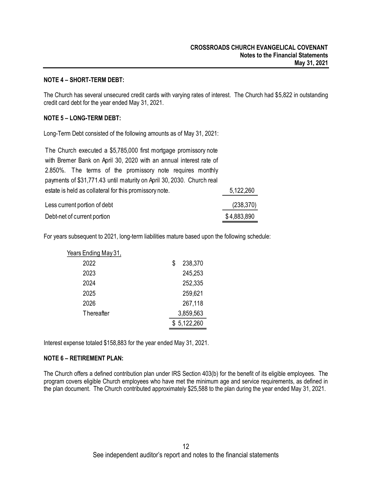### **NOTE 4 – SHORT-TERM DEBT:**

The Church has several unsecured credit cards with varying rates of interest. The Church had \$5,822 in outstanding credit card debt for the year ended May 31, 2021.

# **NOTE 5 – LONG-TERM DEBT:**

Long-Term Debt consisted of the following amounts as of May 31, 2021:

| The Church executed a \$5,785,000 first mortgage promissory note      |             |
|-----------------------------------------------------------------------|-------------|
| with Bremer Bank on April 30, 2020 with an annual interest rate of    |             |
| 2.850%. The terms of the promissory note requires monthly             |             |
| payments of \$31,771.43 until maturity on April 30, 2030. Church real |             |
| estate is held as collateral for this promissory note.                | 5,122,260   |
| Less current portion of debt                                          | (238, 370)  |
| Debt-net of current portion                                           | \$4,883,890 |

For years subsequent to 2021, long-term liabilities mature based upon the following schedule:

| Years Ending May 31, |               |
|----------------------|---------------|
| 2022                 | \$<br>238,370 |
| 2023                 | 245,253       |
| 2024                 | 252,335       |
| 2025                 | 259,621       |
| 2026                 | 267,118       |
| Thereafter           | 3,859,563     |
|                      | \$5,122,260   |

Interest expense totaled \$158,883 for the year ended May 31, 2021.

# **NOTE 6 – RETIREMENT PLAN:**

The Church offers a defined contribution plan under IRS Section 403(b) for the benefit of its eligible employees. The program covers eligible Church employees who have met the minimum age and service requirements, as defined in the plan document. The Church contributed approximately \$25,588 to the plan during the year ended May 31, 2021.